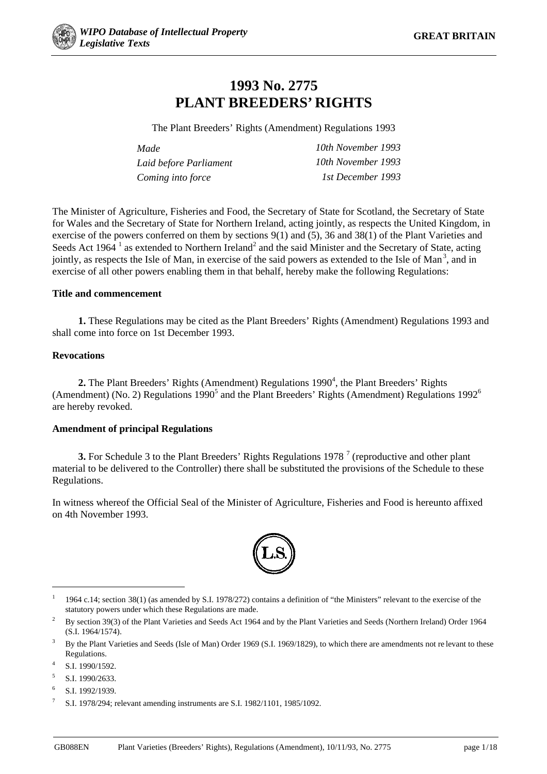

# **1993 No. 2775 PLANT BREEDERS' RIGHTS**

The Plant Breeders' Rights (Amendment) Regulations 1993

| Made                   | 10th November 1993 |
|------------------------|--------------------|
| Laid before Parliament | 10th November 1993 |
| Coming into force      | 1st December 1993  |

The Minister of Agriculture, Fisheries and Food, the Secretary of State for Scotland, the Secretary of State for Wales and the Secretary of State for Northern Ireland, acting jointly, as respects the United Kingdom, in exercise of the powers conferred on them by sections 9(1) and (5), 36 and 38(1) of the Plant Varieties and Seeds Act 1964<sup>1</sup> as extended to Northern Ireland<sup>2</sup> and the said Minister and the Secretary of State, acting jointly, as respects the Isle of Man, in exercise of the said powers as extended to the Isle of Man<sup>3</sup>, and in exercise of all other powers enabling them in that behalf, hereby make the following Regulations:

#### **Title and commencement**

**1.** These Regulations may be cited as the Plant Breeders' Rights (Amendment) Regulations 1993 and shall come into force on 1st December 1993.

#### **Revocations**

2. The Plant Breeders' Rights (Amendment) Regulations 1990<sup>4</sup>, the Plant Breeders' Rights (Amendment) (No. 2) Regulations 1990<sup>5</sup> and the Plant Breeders' Rights (Amendment) Regulations 1992<sup>6</sup> are hereby revoked.

#### **Amendment of principal Regulations**

**3.** For Schedule 3 to the Plant Breeders' Rights Regulations 1978<sup>7</sup> (reproductive and other plant material to be delivered to the Controller) there shall be substituted the provisions of the Schedule to these Regulations.

In witness whereof the Official Seal of the Minister of Agriculture, Fisheries and Food is hereunto affixed on 4th November 1993.



<sup>&</sup>lt;sup>1</sup> 1964 c.14; section 38(1) (as amended by S.I. 1978/272) contains a definition of "the Ministers" relevant to the exercise of the statutory powers under which these Regulations are made.

**.** 

<sup>&</sup>lt;sup>2</sup> By section 39(3) of the Plant Varieties and Seeds Act 1964 and by the Plant Varieties and Seeds (Northern Ireland) Order 1964 (S.I. 1964/1574).

<sup>&</sup>lt;sup>3</sup> By the Plant Varieties and Seeds (Isle of Man) Order 1969 (S.I. 1969/1829), to which there are amendments not re levant to these Regulations.

S.I. 1990/1592.

 $5$  S.I. 1990/2633.

 $6$  S.I. 1992/1939.

<sup>7</sup> S.I. 1978/294; relevant amending instruments are S.I. 1982/1101, 1985/1092.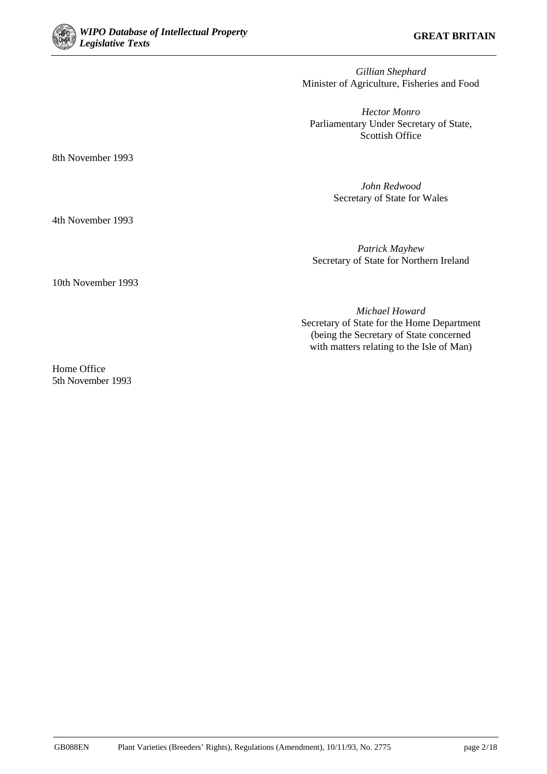

*Gillian Shephard* Minister of Agriculture, Fisheries and Food

*Hector Monro* Parliamentary Under Secretary of State, Scottish Office

8th November 1993

*John Redwood* Secretary of State for Wales

4th November 1993

*Patrick Mayhew* Secretary of State for Northern Ireland

*Michael Howard* Secretary of State for the Home Department (being the Secretary of State concerned with matters relating to the Isle of Man)

10th November 1993

Home Office 5th November 1993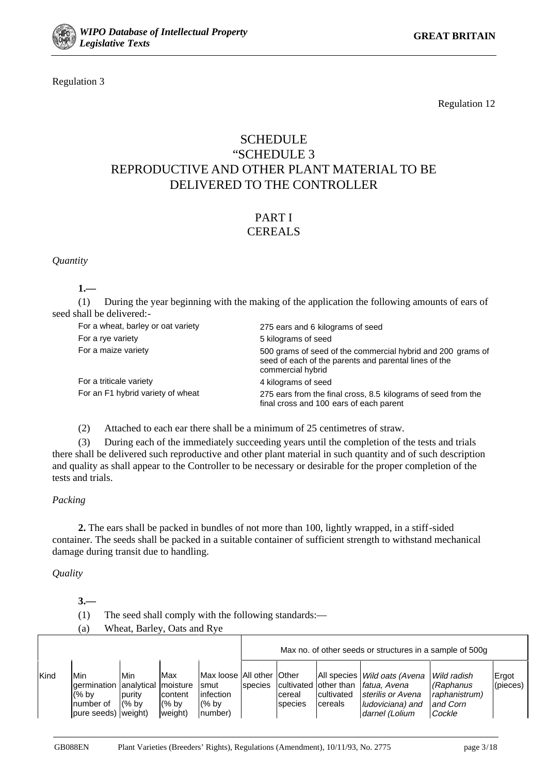

Regulation 3

Regulation 12

## **SCHEDULE** "SCHEDULE 3 REPRODUCTIVE AND OTHER PLANT MATERIAL TO BE DELIVERED TO THE CONTROLLER

# PART I

# **CEREALS**

*Quantity*

**1.—**

(1) During the year beginning with the making of the application the following amounts of ears of seed shall be delivered:-

| For a wheat, barley or oat variety | 275 ears and 6 kilograms of seed                                                                                                          |
|------------------------------------|-------------------------------------------------------------------------------------------------------------------------------------------|
| For a rye variety                  | 5 kilograms of seed                                                                                                                       |
| For a maize variety                | 500 grams of seed of the commercial hybrid and 200 grams of<br>seed of each of the parents and parental lines of the<br>commercial hybrid |
| For a triticale variety            | 4 kilograms of seed                                                                                                                       |
| For an F1 hybrid variety of wheat  | 275 ears from the final cross, 8.5 kilograms of seed from the<br>final cross and 100 ears of each parent                                  |

(2) Attached to each ear there shall be a minimum of 25 centimetres of straw.

(3) During each of the immediately succeeding years until the completion of the tests and trials there shall be delivered such reproductive and other plant material in such quantity and of such description and quality as shall appear to the Controller to be necessary or desirable for the proper completion of the tests and trials.

#### *Packing*

**2.** The ears shall be packed in bundles of not more than 100, lightly wrapped, in a stiff-sided container. The seeds shall be packed in a suitable container of sufficient strength to withstand mechanical damage during transit due to handling.

#### *Quality*

**3.—**

- (1) The seed shall comply with the following standards:—
- (a) Wheat, Barley, Oats and Rye

|      |                                                                                        |                                        |                                      |                                                                       | Max no. of other seeds or structures in a sample of 500g |                   |                       |                                                                                                                                              |                                                                   |                   |
|------|----------------------------------------------------------------------------------------|----------------------------------------|--------------------------------------|-----------------------------------------------------------------------|----------------------------------------------------------|-------------------|-----------------------|----------------------------------------------------------------------------------------------------------------------------------------------|-------------------------------------------------------------------|-------------------|
| Kind | Min<br>germination analytical moisture<br>$(%$ by<br>Inumber of<br>pure seeds) weight) | <b>Min</b><br><b>purity</b><br>$(%$ by | Max<br>content<br>$(%$ by<br>weight) | Max loose All other Other<br>smut<br>infection<br>$(%$ by<br>Inumber) | species                                                  | cereal<br>species | cultivated<br>cereals | All species <i>Wild oats (Avena</i><br>cultivated other than <i>fatua</i> . Avena<br>sterilis or Avena<br>ludoviciana) and<br>darnel (Lolium | l Wild radish<br>(Raphanus<br>raphanistrum)<br>and Corn<br>Cockle | Ergot<br>(pieces) |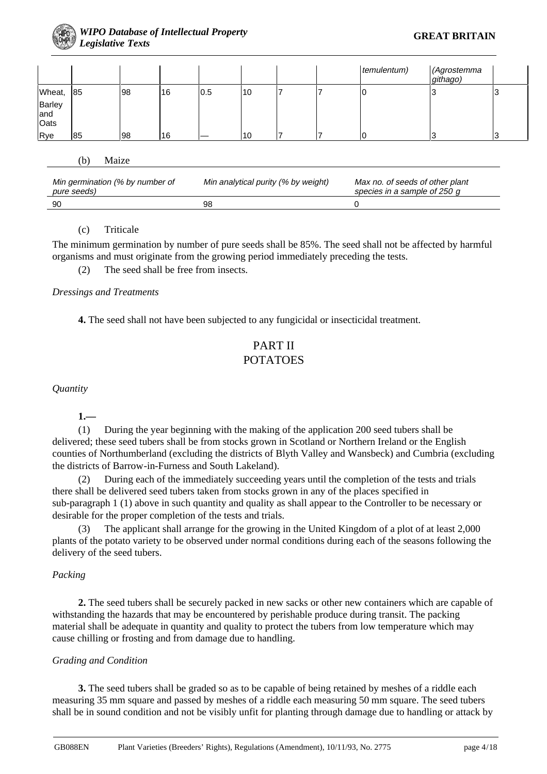

|                       |    |    |    |     |    |  | temulentum) | (Agrostemma<br>githago) |   |
|-----------------------|----|----|----|-----|----|--|-------------|-------------------------|---|
| Wheat,                | 85 | 98 | 16 | 0.5 | 10 |  | ιU          | J                       | N |
| Barley<br>and<br>Oats |    |    |    |     |    |  |             |                         |   |
| Rye                   | 85 | 98 | 16 |     | 10 |  |             |                         |   |

#### (b) Maize

| Min germination (% by number of<br>pure seeds) | Min analytical purity (% by weight) | Max no. of seeds of other plant<br>species in a sample of 250 g |
|------------------------------------------------|-------------------------------------|-----------------------------------------------------------------|
| 90                                             | 98                                  |                                                                 |

#### (c) Triticale

The minimum germination by number of pure seeds shall be 85%. The seed shall not be affected by harmful organisms and must originate from the growing period immediately preceding the tests.

(2) The seed shall be free from insects.

#### *Dressings and Treatments*

**4.** The seed shall not have been subjected to any fungicidal or insecticidal treatment.

## PART II POTATOES

*Quantity*

**1.—**

(1) During the year beginning with the making of the application 200 seed tubers shall be delivered; these seed tubers shall be from stocks grown in Scotland or Northern Ireland or the English counties of Northumberland (excluding the districts of Blyth Valley and Wansbeck) and Cumbria (excluding the districts of Barrow-in-Furness and South Lakeland).

(2) During each of the immediately succeeding years until the completion of the tests and trials there shall be delivered seed tubers taken from stocks grown in any of the places specified in sub-paragraph 1 (1) above in such quantity and quality as shall appear to the Controller to be necessary or desirable for the proper completion of the tests and trials.

(3) The applicant shall arrange for the growing in the United Kingdom of a plot of at least 2,000 plants of the potato variety to be observed under normal conditions during each of the seasons following the delivery of the seed tubers.

#### *Packing*

**2.** The seed tubers shall be securely packed in new sacks or other new containers which are capable of withstanding the hazards that may be encountered by perishable produce during transit. The packing material shall be adequate in quantity and quality to protect the tubers from low temperature which may cause chilling or frosting and from damage due to handling.

#### *Grading and Condition*

**3.** The seed tubers shall be graded so as to be capable of being retained by meshes of a riddle each measuring 35 mm square and passed by meshes of a riddle each measuring 50 mm square. The seed tubers shall be in sound condition and not be visibly unfit for planting through damage due to handling or attack by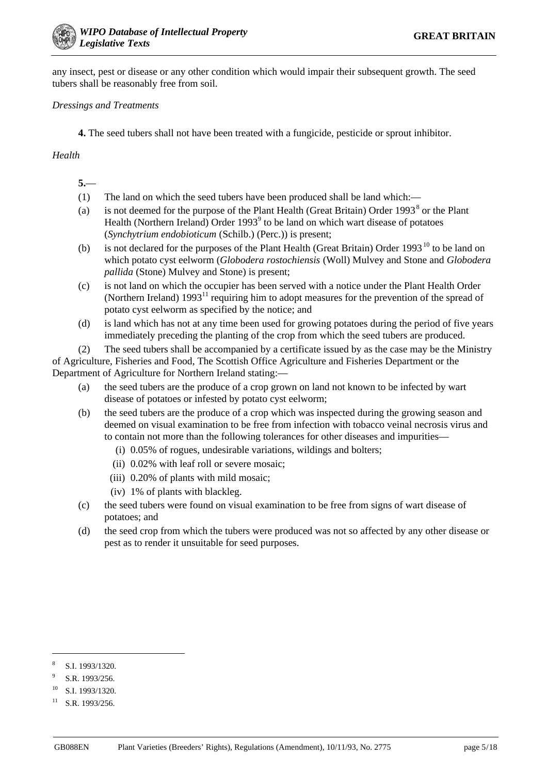any insect, pest or disease or any other condition which would impair their subsequent growth. The seed tubers shall be reasonably free from soil.

#### *Dressings and Treatments*

**4.** The seed tubers shall not have been treated with a fungicide, pesticide or sprout inhibitor.

#### *Health*

- **5.**—
- (1) The land on which the seed tubers have been produced shall be land which:—
- (a) is not deemed for the purpose of the Plant Health (Great Britain) Order  $1993<sup>8</sup>$  or the Plant Health (Northern Ireland) Order  $1993<sup>9</sup>$  to be land on which wart disease of potatoes (*Synchytrium endobioticum* (Schilb.) (Perc.)) is present;
- (b) is not declared for the purposes of the Plant Health (Great Britain) Order 1993<sup>10</sup> to be land on which potato cyst eelworm (*Globodera rostochiensis* (Woll) Mulvey and Stone and *Globodera pallida* (Stone) Mulvey and Stone) is present;
- (c) is not land on which the occupier has been served with a notice under the Plant Health Order (Northern Ireland) 199311 requiring him to adopt measures for the prevention of the spread of potato cyst eelworm as specified by the notice; and
- (d) is land which has not at any time been used for growing potatoes during the period of five years immediately preceding the planting of the crop from which the seed tubers are produced.

(2) The seed tubers shall be accompanied by a certificate issued by as the case may be the Ministry of Agriculture, Fisheries and Food, The Scottish Office Agriculture and Fisheries Department or the Department of Agriculture for Northern Ireland stating:—

- (a) the seed tubers are the produce of a crop grown on land not known to be infected by wart disease of potatoes or infested by potato cyst eelworm;
- (b) the seed tubers are the produce of a crop which was inspected during the growing season and deemed on visual examination to be free from infection with tobacco veinal necrosis virus and to contain not more than the following tolerances for other diseases and impurities—
	- (i) 0.05% of rogues, undesirable variations, wildings and bolters;
	- (ii) 0.02% with leaf roll or severe mosaic;
	- (iii) 0.20% of plants with mild mosaic;
	- (iv) 1% of plants with blackleg.
- (c) the seed tubers were found on visual examination to be free from signs of wart disease of potatoes; and
- (d) the seed crop from which the tubers were produced was not so affected by any other disease or pest as to render it unsuitable for seed purposes.

1

<sup>8</sup> S.I. 1993/1320.

S.R. 1993/256.

S.I. 1993/1320.

 $11$  S.R. 1993/256.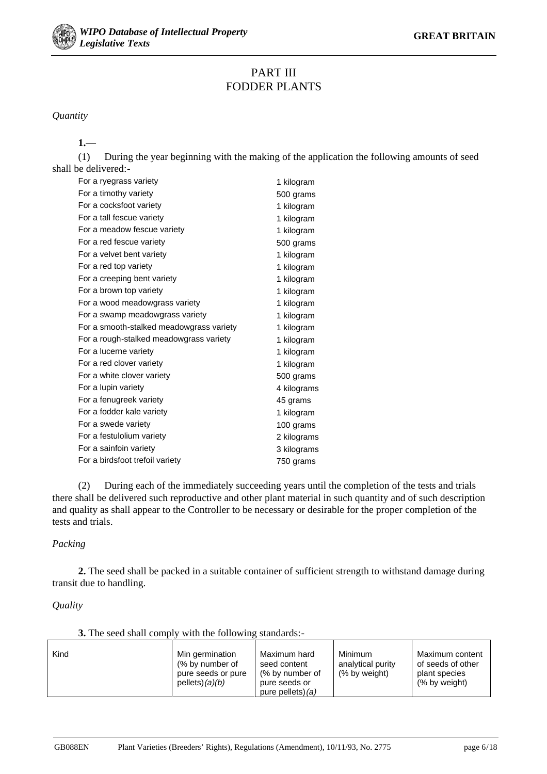

## PART III FODDER PLANTS

*Quantity*

**1.**—

(1) During the year beginning with the making of the application the following amounts of seed shall be delivered:-

| For a ryegrass variety                   | 1 kilogram  |
|------------------------------------------|-------------|
| For a timothy variety                    | 500 grams   |
| For a cocksfoot variety                  | 1 kilogram  |
| For a tall fescue variety                | 1 kilogram  |
| For a meadow fescue variety              | 1 kilogram  |
| For a red fescue variety                 | 500 grams   |
| For a velvet bent variety                | 1 kilogram  |
| For a red top variety                    | 1 kilogram  |
| For a creeping bent variety              | 1 kilogram  |
| For a brown top variety                  | 1 kilogram  |
| For a wood meadowgrass variety           | 1 kilogram  |
| For a swamp meadowgrass variety          | 1 kilogram  |
| For a smooth-stalked meadowgrass variety | 1 kilogram  |
| For a rough-stalked meadowgrass variety  | 1 kilogram  |
| For a lucerne variety                    | 1 kilogram  |
| For a red clover variety                 | 1 kilogram  |
| For a white clover variety               | 500 grams   |
| For a lupin variety                      | 4 kilograms |
| For a fenugreek variety                  | 45 grams    |
| For a fodder kale variety                | 1 kilogram  |
| For a swede variety                      | 100 grams   |
| For a festulolium variety                | 2 kilograms |
| For a sainfoin variety                   | 3 kilograms |
| For a birdsfoot trefoil variety          | 750 grams   |

(2) During each of the immediately succeeding years until the completion of the tests and trials there shall be delivered such reproductive and other plant material in such quantity and of such description and quality as shall appear to the Controller to be necessary or desirable for the proper completion of the tests and trials.

#### *Packing*

**2.** The seed shall be packed in a suitable container of sufficient strength to withstand damage during transit due to handling.

#### *Quality*

**3.** The seed shall comply with the following standards:-

| Kind | Min germination<br>(% by number of<br>pure seeds or pure<br>pellets) $(a)(b)$ | Maximum hard<br>seed content<br>(% by number of<br>pure seeds or<br>pure pellets) $(a)$ | Minimum<br>analytical purity<br>(% by weight) | Maximum content<br>of seeds of other<br>plant species<br>(% by weight) |
|------|-------------------------------------------------------------------------------|-----------------------------------------------------------------------------------------|-----------------------------------------------|------------------------------------------------------------------------|
|------|-------------------------------------------------------------------------------|-----------------------------------------------------------------------------------------|-----------------------------------------------|------------------------------------------------------------------------|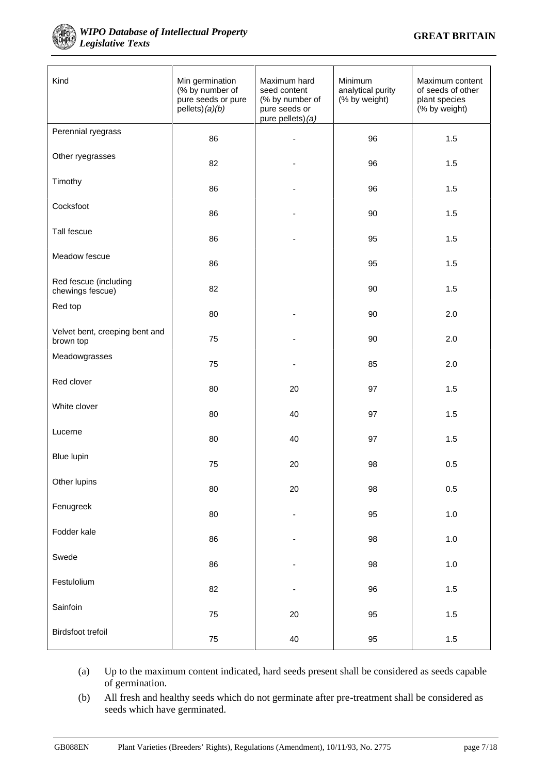

#### **WIPO Database of Intellectual Property GREAT BRITAIN** *Legislative Texts*

| Kind                                        | Min germination<br>(% by number of<br>pure seeds or pure<br>pellets) (a)(b) | Maximum hard<br>seed content<br>(% by number of<br>pure seeds or<br>pure pellets) (a) | Minimum<br>analytical purity<br>(% by weight) | Maximum content<br>of seeds of other<br>plant species<br>(% by weight) |  |
|---------------------------------------------|-----------------------------------------------------------------------------|---------------------------------------------------------------------------------------|-----------------------------------------------|------------------------------------------------------------------------|--|
| Perennial ryegrass                          | 86                                                                          |                                                                                       | 96                                            | 1.5                                                                    |  |
| Other ryegrasses                            | 82                                                                          |                                                                                       | 96                                            | 1.5                                                                    |  |
| Timothy                                     | 86                                                                          |                                                                                       | 96                                            | 1.5                                                                    |  |
| Cocksfoot                                   | 86                                                                          |                                                                                       | 90                                            | 1.5                                                                    |  |
| Tall fescue                                 | 86                                                                          |                                                                                       | 95                                            | 1.5                                                                    |  |
| Meadow fescue                               | 86                                                                          |                                                                                       | 95                                            | 1.5                                                                    |  |
| Red fescue (including<br>chewings fescue)   | 82                                                                          |                                                                                       | 90                                            | 1.5                                                                    |  |
| Red top                                     | 80                                                                          |                                                                                       | 90                                            | 2.0                                                                    |  |
| Velvet bent, creeping bent and<br>brown top | 75                                                                          |                                                                                       | 90                                            | 2.0                                                                    |  |
| Meadowgrasses                               | 75                                                                          |                                                                                       | 85                                            | 2.0                                                                    |  |
| Red clover                                  | 80                                                                          | 20                                                                                    | 97                                            | 1.5                                                                    |  |
| White clover                                | 80                                                                          | 40                                                                                    | 97                                            | 1.5                                                                    |  |
| Lucerne                                     | 80                                                                          | 40                                                                                    | 97                                            | 1.5                                                                    |  |
| <b>Blue lupin</b>                           | 75                                                                          | 20                                                                                    | 98                                            | 0.5                                                                    |  |
| Other lupins                                | 80                                                                          | $20\,$                                                                                | 98                                            | 0.5                                                                    |  |
| Fenugreek                                   | 80                                                                          | $\overline{\phantom{m}}$                                                              | 95                                            | $1.0\,$                                                                |  |
| Fodder kale                                 | 86                                                                          |                                                                                       | 98                                            | $1.0$                                                                  |  |
| Swede                                       | 86                                                                          |                                                                                       | 98                                            | $1.0\,$                                                                |  |
| Festulolium                                 | 82                                                                          | $\overline{a}$                                                                        | 96                                            | $1.5$                                                                  |  |
| Sainfoin                                    | 75                                                                          | $20\,$                                                                                | 95                                            | $1.5$                                                                  |  |
| Birdsfoot trefoil                           | 75                                                                          | 40                                                                                    | 95                                            | $1.5\,$                                                                |  |

(a) Up to the maximum content indicated, hard seeds present shall be considered as seeds capable of germination.

(b) All fresh and healthy seeds which do not germinate after pre-treatment shall be considered as seeds which have germinated.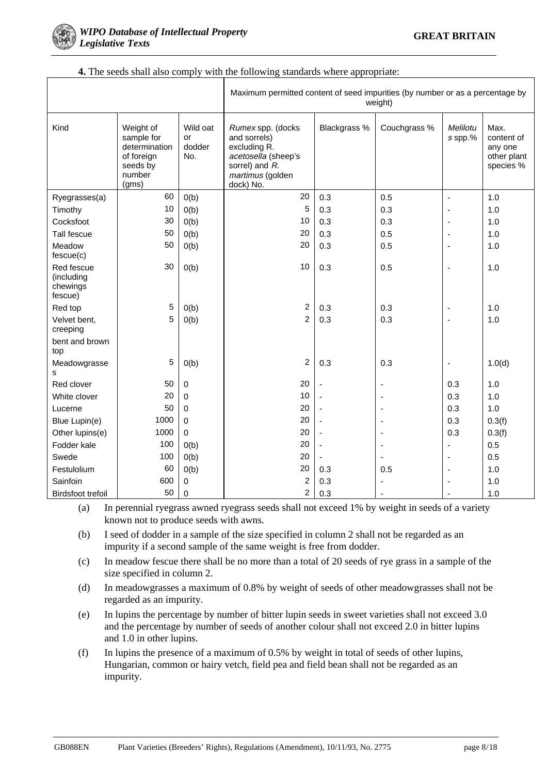

|                                                 |                                                                                       |                                 | Maximum permitted content of seed impurities (by number or as a percentage by<br>weight)                                    |              |                          |                          |                                                           |  |
|-------------------------------------------------|---------------------------------------------------------------------------------------|---------------------------------|-----------------------------------------------------------------------------------------------------------------------------|--------------|--------------------------|--------------------------|-----------------------------------------------------------|--|
| Kind                                            | Weight of<br>sample for<br>determination<br>of foreign<br>seeds by<br>number<br>(gms) | Wild oat<br>or<br>dodder<br>No. | Rumex spp. (docks<br>and sorrels)<br>excluding R.<br>acetosella (sheep's<br>sorrel) and R.<br>martimus (golden<br>dock) No. | Blackgrass % | Couchgrass %             | Melilotu<br>s spp.%      | Max.<br>content of<br>any one<br>other plant<br>species % |  |
| Ryegrasses(a)                                   | 60                                                                                    | O(b)                            | 20                                                                                                                          | 0.3          | 0.5                      | $\sim$                   | 1.0                                                       |  |
| Timothy                                         | 10                                                                                    | O(b)                            | 5                                                                                                                           | 0.3          | 0.3                      | ÷,                       | 1.0                                                       |  |
| Cocksfoot                                       | 30                                                                                    | O(b)                            | 10                                                                                                                          | 0.3          | 0.3                      | $\overline{\phantom{a}}$ | 1.0                                                       |  |
| Tall fescue                                     | 50                                                                                    | O(b)                            | 20                                                                                                                          | 0.3          | 0.5                      | $\overline{\phantom{a}}$ | 1.0                                                       |  |
| Meadow<br>fescue(c)                             | 50                                                                                    | O(b)                            | 20                                                                                                                          | 0.3          | 0.5                      | ٠                        | 1.0                                                       |  |
| Red fescue<br>(including<br>chewings<br>fescue) | 30                                                                                    | O(b)                            | 10                                                                                                                          | 0.3          | 0.5                      | $\overline{\phantom{a}}$ | 1.0                                                       |  |
| Red top                                         | 5                                                                                     | O(b)                            | $\overline{\mathbf{c}}$                                                                                                     | 0.3          | 0.3                      | $\overline{\phantom{a}}$ | 1.0                                                       |  |
| Velvet bent,<br>creeping                        | 5                                                                                     | O(b)                            | $\overline{2}$                                                                                                              | 0.3          | 0.3                      | ÷,                       | 1.0                                                       |  |
| bent and brown<br>top                           |                                                                                       |                                 |                                                                                                                             |              |                          |                          |                                                           |  |
| Meadowgrasse<br>s                               | 5                                                                                     | O(b)                            | $\overline{c}$                                                                                                              | 0.3          | 0.3                      | $\overline{\phantom{a}}$ | 1.0(d)                                                    |  |
| Red clover                                      | 50                                                                                    | $\pmb{0}$                       | 20                                                                                                                          |              | $\blacksquare$           | 0.3                      | 1.0                                                       |  |
| White clover                                    | 20                                                                                    | $\mathbf 0$                     | 10                                                                                                                          | ÷,           | ٠                        | 0.3                      | 1.0                                                       |  |
| Lucerne                                         | 50                                                                                    | 0                               | 20                                                                                                                          | ä,           | $\blacksquare$           | 0.3                      | 1.0                                                       |  |
| Blue Lupin(e)                                   | 1000                                                                                  | $\mathbf 0$                     | 20                                                                                                                          | ä,           | $\blacksquare$           | 0.3                      | 0.3(f)                                                    |  |
| Other lupins(e)                                 | 1000                                                                                  | 0                               | 20                                                                                                                          | ÷,           | $\blacksquare$           | 0.3                      | 0.3(f)                                                    |  |
| Fodder kale                                     | 100                                                                                   | O(b)                            | 20                                                                                                                          | ÷,           | ٠                        | $\overline{a}$           | 0.5                                                       |  |
| Swede                                           | 100                                                                                   | O(b)                            | 20                                                                                                                          |              | $\overline{\phantom{a}}$ | $\overline{\phantom{a}}$ | 0.5                                                       |  |
| Festulolium                                     | 60                                                                                    | O(b)                            | 20                                                                                                                          | 0.3          | 0.5                      | ÷,                       | 1.0                                                       |  |
| Sainfoin                                        | 600                                                                                   | 0                               | $\overline{c}$                                                                                                              | 0.3          |                          | $\overline{\phantom{a}}$ | 1.0                                                       |  |
| <b>Birdsfoot trefoil</b>                        | 50                                                                                    | 0                               | $\overline{2}$                                                                                                              | 0.3          |                          | $\overline{\phantom{a}}$ | 1.0                                                       |  |

#### **4.** The seeds shall also comply with the following standards where appropriate:

(a) In perennial ryegrass awned ryegrass seeds shall not exceed 1% by weight in seeds of a variety known not to produce seeds with awns.

(b) I seed of dodder in a sample of the size specified in column 2 shall not be regarded as an impurity if a second sample of the same weight is free from dodder.

(c) In meadow fescue there shall be no more than a total of 20 seeds of rye grass in a sample of the size specified in column 2.

- (d) In meadowgrasses a maximum of 0.8% by weight of seeds of other meadowgrasses shall not be regarded as an impurity.
- (e) In lupins the percentage by number of bitter lupin seeds in sweet varieties shall not exceed 3.0 and the percentage by number of seeds of another colour shall not exceed 2.0 in bitter lupins and 1.0 in other lupins.
- (f) In lupins the presence of a maximum of 0.5% by weight in total of seeds of other lupins, Hungarian, common or hairy vetch, field pea and field bean shall not be regarded as an impurity.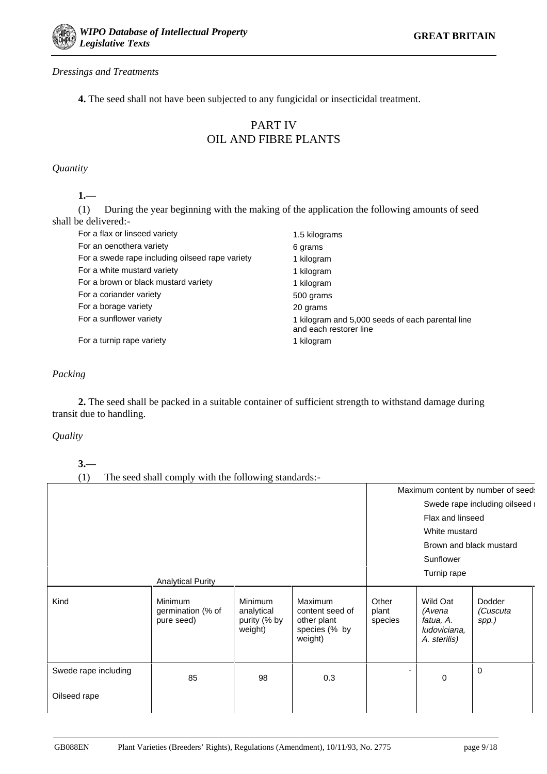

#### *Dressings and Treatments*

**4.** The seed shall not have been subjected to any fungicidal or insecticidal treatment.

## PART IV OIL AND FIBRE PLANTS

*Quantity*

**1.**—

(1) During the year beginning with the making of the application the following amounts of seed shall be delivered:-

| For a flax or linseed variety                   | 1.5 kilograms                                                              |
|-------------------------------------------------|----------------------------------------------------------------------------|
| For an oenothera variety                        | 6 grams                                                                    |
| For a swede rape including oilseed rape variety | 1 kilogram                                                                 |
| For a white mustard variety                     | 1 kilogram                                                                 |
| For a brown or black mustard variety            | 1 kilogram                                                                 |
| For a coriander variety                         | 500 grams                                                                  |
| For a borage variety                            | 20 grams                                                                   |
| For a sunflower variety                         | 1 kilogram and 5,000 seeds of each parental line<br>and each restorer line |
| For a turnip rape variety                       | 1 kilogram                                                                 |

#### *Packing*

**2.** The seed shall be packed in a suitable container of sufficient strength to withstand damage during transit due to handling.

#### *Quality*

**3.—**

(1) The seed shall comply with the following standards:-

|                      |                                            |                                                  |                                                                              |                           |                                                                 | Maximum content by number of seed: |
|----------------------|--------------------------------------------|--------------------------------------------------|------------------------------------------------------------------------------|---------------------------|-----------------------------------------------------------------|------------------------------------|
|                      |                                            | Swede rape including oilseed i                   |                                                                              |                           |                                                                 |                                    |
|                      |                                            |                                                  | Flax and linseed                                                             |                           |                                                                 |                                    |
|                      |                                            |                                                  |                                                                              |                           |                                                                 |                                    |
|                      |                                            |                                                  |                                                                              |                           | White mustard                                                   |                                    |
|                      |                                            |                                                  |                                                                              |                           | Brown and black mustard                                         |                                    |
|                      |                                            |                                                  |                                                                              |                           | Sunflower                                                       |                                    |
|                      |                                            |                                                  |                                                                              |                           | Turnip rape                                                     |                                    |
|                      | <b>Analytical Purity</b>                   |                                                  |                                                                              |                           |                                                                 |                                    |
| Kind                 | Minimum<br>germination (% of<br>pure seed) | Minimum<br>analytical<br>purity (% by<br>weight) | <b>Maximum</b><br>content seed of<br>other plant<br>species (% by<br>weight) | Other<br>plant<br>species | Wild Oat<br>(Avena<br>fatua, A.<br>ludoviciana,<br>A. sterilis) | Dodder<br>(Cuscuta<br>spp.)        |
| Swede rape including | 85                                         | 98                                               | 0.3                                                                          |                           | $\mathbf 0$                                                     | $\Omega$                           |
| Oilseed rape         |                                            |                                                  |                                                                              |                           |                                                                 |                                    |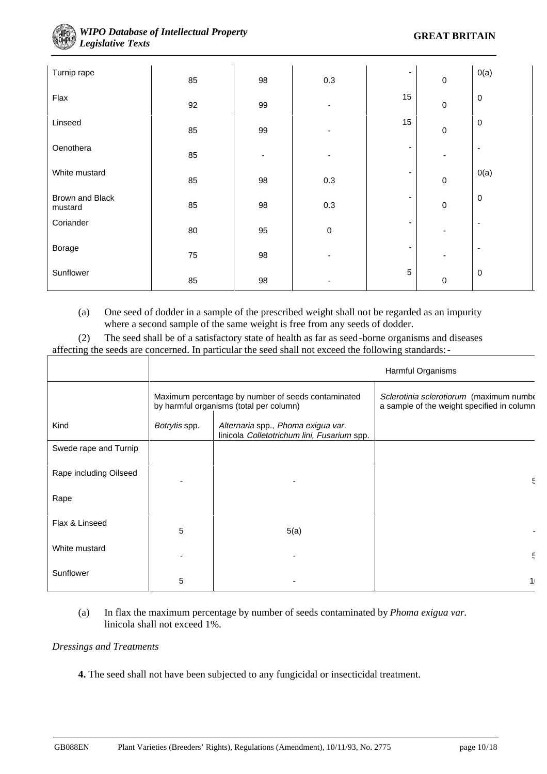

| Turnip rape                | 85     | 98                       | $0.3\,$     | $\overline{\phantom{a}}$ | $\pmb{0}$      | O(a)      |
|----------------------------|--------|--------------------------|-------------|--------------------------|----------------|-----------|
| Flax                       | 92     | 99                       |             | 15                       | $\pmb{0}$      | $\pmb{0}$ |
| Linseed                    | 85     | 99                       |             | 15                       | $\pmb{0}$      | $\pmb{0}$ |
| Oenothera                  | 85     | $\overline{\phantom{0}}$ |             | $\overline{\phantom{a}}$ | $\blacksquare$ | ٠         |
| White mustard              | 85     | 98                       | 0.3         | $\overline{\phantom{a}}$ | $\pmb{0}$      | O(a)      |
| Brown and Black<br>mustard | 85     | 98                       | 0.3         | ۰                        | $\pmb{0}$      | $\pmb{0}$ |
| Coriander                  | $80\,$ | 95                       | $\mathbf 0$ | ۰                        |                | ٠         |
| Borage                     | 75     | 98                       |             |                          | -              | ٠         |
| Sunflower                  | 85     | 98                       |             | $\sqrt{5}$               | $\pmb{0}$      | $\pmb{0}$ |

(a) One seed of dodder in a sample of the prescribed weight shall not be regarded as an impurity where a second sample of the same weight is free from any seeds of dodder.

(2) The seed shall be of a satisfactory state of health as far as seed-borne organisms and diseases affecting the seeds are concerned. In particular the seed shall not exceed the following standards:-

|                        | Harmful Organisms                                                                             |                                                                                   |                                                                                       |
|------------------------|-----------------------------------------------------------------------------------------------|-----------------------------------------------------------------------------------|---------------------------------------------------------------------------------------|
|                        | Maximum percentage by number of seeds contaminated<br>by harmful organisms (total per column) |                                                                                   | Sclerotinia sclerotiorum (maximum numbe<br>a sample of the weight specified in column |
| Kind                   | Botrytis spp.                                                                                 | Alternaria spp., Phoma exigua var.<br>linicola Colletotrichum lini, Fusarium spp. |                                                                                       |
| Swede rape and Turnip  |                                                                                               |                                                                                   |                                                                                       |
| Rape including Oilseed |                                                                                               |                                                                                   | 5                                                                                     |
| Rape                   |                                                                                               |                                                                                   |                                                                                       |
| Flax & Linseed         | 5                                                                                             | 5(a)                                                                              |                                                                                       |
| White mustard          |                                                                                               |                                                                                   | 5                                                                                     |
| Sunflower              | 5                                                                                             |                                                                                   | 1 <sup>1</sup>                                                                        |

(a) In flax the maximum percentage by number of seeds contaminated by *Phoma exigua var.* linicola shall not exceed 1%.

#### *Dressings and Treatments*

**4.** The seed shall not have been subjected to any fungicidal or insecticidal treatment.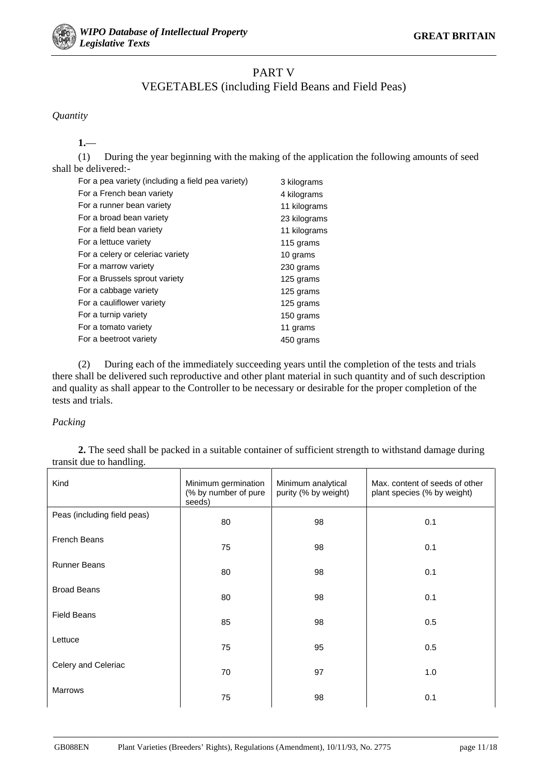

## PART V

## VEGETABLES (including Field Beans and Field Peas)

#### *Quantity*

### **1.**—

(1) During the year beginning with the making of the application the following amounts of seed shall be delivered:-

| For a pea variety (including a field pea variety) | 3 kilograms  |
|---------------------------------------------------|--------------|
| For a French bean variety                         | 4 kilograms  |
| For a runner bean variety                         | 11 kilograms |
| For a broad bean variety                          | 23 kilograms |
| For a field bean variety                          | 11 kilograms |
| For a lettuce variety                             | 115 grams    |
| For a celery or celeriac variety                  | 10 grams     |
| For a marrow variety                              | 230 grams    |
| For a Brussels sprout variety                     | 125 grams    |
| For a cabbage variety                             | 125 grams    |
| For a cauliflower variety                         | 125 grams    |
| For a turnip variety                              | 150 grams    |
| For a tomato variety                              | 11 grams     |
| For a beetroot variety                            | 450 grams    |

(2) During each of the immediately succeeding years until the completion of the tests and trials there shall be delivered such reproductive and other plant material in such quantity and of such description and quality as shall appear to the Controller to be necessary or desirable for the proper completion of the tests and trials.

#### *Packing*

**2.** The seed shall be packed in a suitable container of sufficient strength to withstand damage during transit due to handling.

| Kind                        | Minimum germination<br>(% by number of pure<br>seeds) | Minimum analytical<br>purity (% by weight) | Max, content of seeds of other<br>plant species (% by weight) |
|-----------------------------|-------------------------------------------------------|--------------------------------------------|---------------------------------------------------------------|
| Peas (including field peas) | 80                                                    | 98                                         | 0.1                                                           |
| <b>French Beans</b>         | 75                                                    | 98                                         | 0.1                                                           |
| <b>Runner Beans</b>         | 80                                                    | 98                                         | 0.1                                                           |
| <b>Broad Beans</b>          | 80                                                    | 98                                         | 0.1                                                           |
| <b>Field Beans</b>          | 85                                                    | 98                                         | 0.5                                                           |
| Lettuce                     | 75                                                    | 95                                         | 0.5                                                           |
| Celery and Celeriac         | 70                                                    | 97                                         | 1.0                                                           |
| <b>Marrows</b>              | 75                                                    | 98                                         | 0.1                                                           |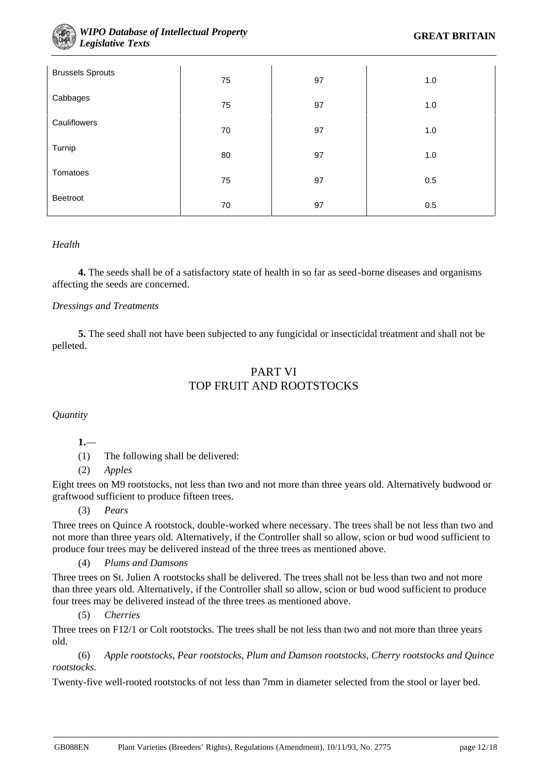

#### **WIPO Database of Intellectual Property GREAT BRITAIN** *Legislative Texts*

| <b>Brussels Sprouts</b> | 75 | 97 | 1.0 |
|-------------------------|----|----|-----|
| Cabbages                | 75 | 97 | 1.0 |
| Cauliflowers            | 70 | 97 | 1.0 |
| Turnip                  | 80 | 97 | 1.0 |
| Tomatoes                |    |    |     |
| Beetroot                | 75 | 97 | 0.5 |
|                         | 70 | 97 | 0.5 |

#### *Health*

**4.** The seeds shall be of a satisfactory state of health in so far as seed-borne diseases and organisms affecting the seeds are concerned.

#### *Dressings and Treatments*

**5.** The seed shall not have been subjected to any fungicidal or insecticidal treatment and shall not be pelleted.

## PART VI TOP FRUIT AND ROOTSTOCKS

*Quantity*

**1.**—

(1) The following shall be delivered:

#### (2) *Apples*

Eight trees on M9 rootstocks, not less than two and not more than three years old. Alternatively budwood or graftwood sufficient to produce fifteen trees.

(3) *Pears*

Three trees on Quince A rootstock, double-worked where necessary. The trees shall be not less than two and not more than three years old. Alternatively, if the Controller shall so allow, scion or bud wood sufficient to produce four trees may be delivered instead of the three trees as mentioned above.

#### (4) *Plums and Damsons*

Three trees on St. Julien A rootstocks shall be delivered. The trees shall not be less than two and not more than three years old. Alternatively, if the Controller shall so allow, scion or bud wood sufficient to produce four trees may be delivered instead of the three trees as mentioned above.

(5) *Cherries*

Three trees on F12/1 or Colt rootstocks. The trees shall be not less than two and not more than three years old.

(6) *Apple rootstocks, Pear rootstocks, Plum and Damson rootstocks, Cherry rootstocks and Quince rootstocks.*

Twenty-five well-rooted rootstocks of not less than 7mm in diameter selected from the stool or layer bed.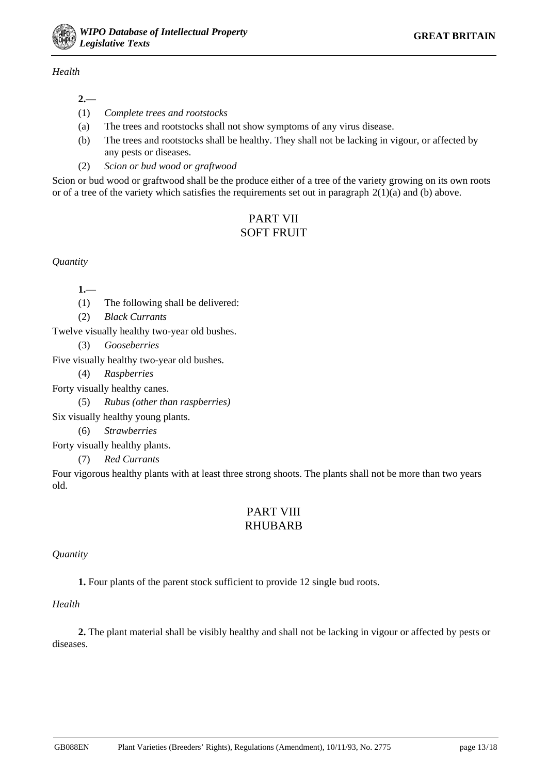#### *Health*

- (1) *Complete trees and rootstocks*
- (a) The trees and rootstocks shall not show symptoms of any virus disease.
- (b) The trees and rootstocks shall be healthy. They shall not be lacking in vigour, or affected by any pests or diseases.
- (2) *Scion or bud wood or graftwood*

Scion or bud wood or graftwood shall be the produce either of a tree of the variety growing on its own roots or of a tree of the variety which satisfies the requirements set out in paragraph  $2(1)(a)$  and (b) above.

## PART VII SOFT FRUIT

*Quantity*

**1.**—

(1) The following shall be delivered:

(2) *Black Currants*

Twelve visually healthy two-year old bushes.

(3) *Gooseberries*

Five visually healthy two-year old bushes.

(4) *Raspberries*

Forty visually healthy canes.

(5) *Rubus (other than raspberries)*

Six visually healthy young plants.

(6) *Strawberries*

Forty visually healthy plants.

(7) *Red Currants*

Four vigorous healthy plants with at least three strong shoots. The plants shall not be more than two years old.

## PART VIII RHUBARB

#### *Quantity*

**1.** Four plants of the parent stock sufficient to provide 12 single bud roots.

#### *Health*

**2.** The plant material shall be visibly healthy and shall not be lacking in vigour or affected by pests or diseases.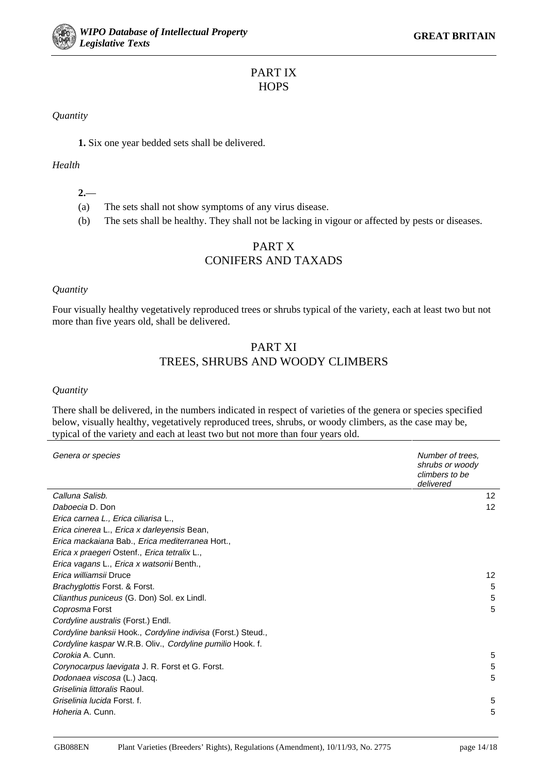## PART IX **HOPS**

#### *Quantity*

**1.** Six one year bedded sets shall be delivered.

#### *Health*

#### **2.**—

- (a) The sets shall not show symptoms of any virus disease.
- (b) The sets shall be healthy. They shall not be lacking in vigour or affected by pests or diseases.

## PART X CONIFERS AND TAXADS

#### *Quantity*

Four visually healthy vegetatively reproduced trees or shrubs typical of the variety, each at least two but not more than five years old, shall be delivered.

### PART XI TREES, SHRUBS AND WOODY CLIMBERS

#### *Quantity*

There shall be delivered, in the numbers indicated in respect of varieties of the genera or species specified below, visually healthy, vegetatively reproduced trees, shrubs, or woody climbers, as the case may be, typical of the variety and each at least two but not more than four years old.

| Genera or species                                            | Number of trees.<br>shrubs or woody<br>climbers to be<br>delivered |
|--------------------------------------------------------------|--------------------------------------------------------------------|
| Calluna Salisb.                                              | 12                                                                 |
| Daboecia D. Don                                              | 12                                                                 |
| Erica carnea L., Erica ciliarisa L.,                         |                                                                    |
| Erica cinerea L., Erica x darleyensis Bean,                  |                                                                    |
| Erica mackaiana Bab., Erica mediterranea Hort.,              |                                                                    |
| Erica x praegeri Ostenf., Erica tetralix L.,                 |                                                                    |
| Erica vagans L., Erica x watsonii Benth.,                    |                                                                    |
| Erica williamsii Druce                                       | 12                                                                 |
| Brachyglottis Forst. & Forst.                                | 5                                                                  |
| Clianthus puniceus (G. Don) Sol. ex Lindl.                   | 5                                                                  |
| Coprosma Forst                                               | 5                                                                  |
| Cordyline australis (Forst.) Endl.                           |                                                                    |
| Cordyline banksii Hook., Cordyline indivisa (Forst.) Steud., |                                                                    |
| Cordyline kaspar W.R.B. Oliv., Cordyline pumilio Hook. f.    |                                                                    |
| Corokia A. Cunn.                                             | 5                                                                  |
| Corynocarpus laevigata J. R. Forst et G. Forst.              | 5                                                                  |
| Dodonaea viscosa (L.) Jacq.                                  | 5                                                                  |
| Griselinia littoralis Raoul.                                 |                                                                    |
| Griselinia lucida Forst. f.                                  | 5                                                                  |
| Hoheria A. Cunn.                                             | 5                                                                  |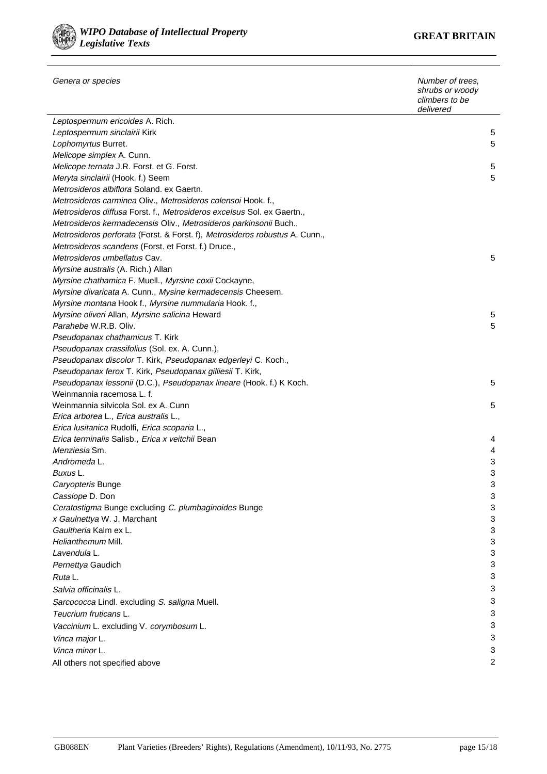

| Genera or species                                                           | Number of trees,<br>shrubs or woody<br>climbers to be<br>delivered |
|-----------------------------------------------------------------------------|--------------------------------------------------------------------|
| Leptospermum ericoides A. Rich.                                             |                                                                    |
| Leptospermum sinclairii Kirk                                                | 5                                                                  |
| Lophomyrtus Burret.                                                         | 5                                                                  |
| Melicope simplex A. Cunn.                                                   |                                                                    |
| Melicope ternata J.R. Forst. et G. Forst.                                   | 5                                                                  |
| Meryta sinclairii (Hook. f.) Seem                                           | 5                                                                  |
| Metrosideros albiflora Soland. ex Gaertn.                                   |                                                                    |
| Metrosideros carminea Oliv., Metrosideros colensoi Hook. f.,                |                                                                    |
| Metrosideros diffusa Forst. f., Metrosideros excelsus Sol. ex Gaertn.,      |                                                                    |
| Metrosideros kermadecensis Oliv., Metrosideros parkinsonii Buch.,           |                                                                    |
| Metrosideros perforata (Forst. & Forst. f), Metrosideros robustus A. Cunn., |                                                                    |
| Metrosideros scandens (Forst. et Forst. f.) Druce.,                         |                                                                    |
| Metrosideros umbellatus Cav.                                                | 5                                                                  |
| Myrsine australis (A. Rich.) Allan                                          |                                                                    |
| Myrsine chathamica F. Muell., Myrsine coxii Cockayne,                       |                                                                    |
| Myrsine divaricata A. Cunn., Mysine kermadecensis Cheesem.                  |                                                                    |
| Myrsine montana Hook f., Myrsine nummularia Hook. f.,                       |                                                                    |
| Myrsine oliveri Allan, Myrsine salicina Heward                              | 5                                                                  |
| Parahebe W.R.B. Oliv.                                                       | 5                                                                  |
| Pseudopanax chathamicus T. Kirk                                             |                                                                    |
| <i>Pseudopanax crassifolius (Sol. ex. A. Cunn.),</i>                        |                                                                    |
| Pseudopanax discolor T. Kirk, Pseudopanax edgerleyi C. Koch.,               |                                                                    |
| Pseudopanax ferox T. Kirk, Pseudopanax gilliesii T. Kirk,                   |                                                                    |
| Pseudopanax lessonii (D.C.), Pseudopanax lineare (Hook. f.) K Koch.         | 5                                                                  |
| Weinmannia racemosa L. f.                                                   |                                                                    |
| Weinmannia silvicola Sol. ex A. Cunn                                        | 5                                                                  |
| Erica arborea L., Erica australis L.,                                       |                                                                    |
| Erica lusitanica Rudolfi, Erica scoparia L.,                                |                                                                    |
| Erica terminalis Salisb., Erica x veitchii Bean                             | 4                                                                  |
| <i>Menziesia</i> Sm.                                                        | 4                                                                  |
| Andromeda L.                                                                | 3                                                                  |
| Buxus L.                                                                    | 3                                                                  |
| Caryopteris Bunge                                                           | 3                                                                  |
| Cassiope D. Don                                                             | 3                                                                  |
| Ceratostigma Bunge excluding C. plumbaginoides Bunge                        | 3                                                                  |
| x Gaulnettya W. J. Marchant                                                 | 3                                                                  |
| Gaultheria Kalm ex L.                                                       | 3                                                                  |
| Helianthemum Mill.                                                          | 3                                                                  |
| Lavendula L.                                                                | 3                                                                  |
| Pernettya Gaudich                                                           | 3                                                                  |
| Ruta L.                                                                     | 3                                                                  |
| Salvia officinalis L.                                                       | 3                                                                  |
| Sarcococca Lindl. excluding S. saligna Muell.                               | 3                                                                  |
| Teucrium fruticans L.                                                       | 3                                                                  |
| Vaccinium L. excluding V. corymbosum L.                                     | 3                                                                  |
| Vinca major L.                                                              | 3                                                                  |
| Vinca minor L.                                                              | 3                                                                  |
|                                                                             | $\overline{2}$                                                     |
| All others not specified above                                              |                                                                    |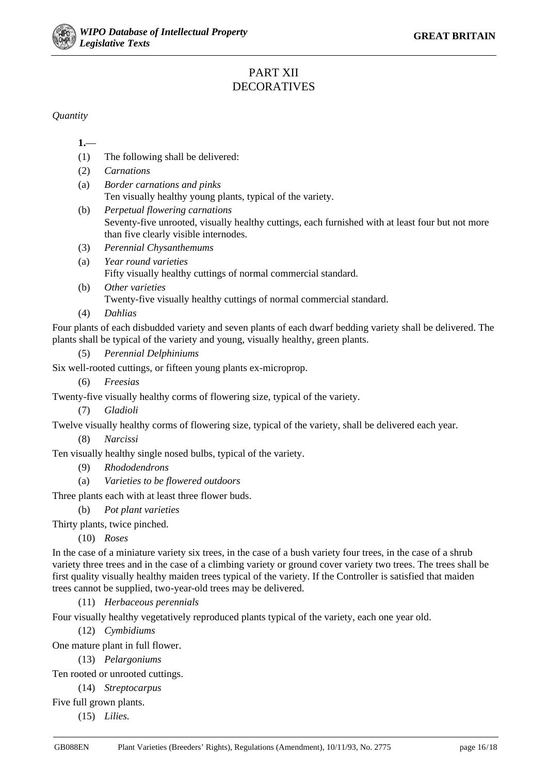

## PART XII DECORATIVES

*Quantity*

**1.**—

- (1) The following shall be delivered:
- (2) *Carnations*
- (a) *Border carnations and pinks* Ten visually healthy young plants, typical of the variety.
- (b) *Perpetual flowering carnations* Seventy-five unrooted, visually healthy cuttings, each furnished with at least four but not more than five clearly visible internodes.
- (3) *Perennial Chysanthemums*
- (a) *Year round varieties* Fifty visually healthy cuttings of normal commercial standard.
- (b) *Other varieties* Twenty-five visually healthy cuttings of normal commercial standard.
- (4) *Dahlias*

Four plants of each disbudded variety and seven plants of each dwarf bedding variety shall be delivered. The plants shall be typical of the variety and young, visually healthy, green plants.

(5) *Perennial Delphiniums*

Six well-rooted cuttings, or fifteen young plants ex-microprop.

- (6) *Freesias* Twenty-five visually healthy corms of flowering size, typical of the variety.
	- (7) *Gladioli*

Twelve visually healthy corms of flowering size, typical of the variety, shall be delivered each year.

(8) *Narcissi*

Ten visually healthy single nosed bulbs, typical of the variety.

- (9) *Rhododendrons*
- (a) *Varieties to be flowered outdoors*

Three plants each with at least three flower buds.

(b) *Pot plant varieties*

Thirty plants, twice pinched.

(10) *Roses*

In the case of a miniature variety six trees, in the case of a bush variety four trees, in the case of a shrub variety three trees and in the case of a climbing variety or ground cover variety two trees. The trees shall be first quality visually healthy maiden trees typical of the variety. If the Controller is satisfied that maiden trees cannot be supplied, two-year-old trees may be delivered.

(11) *Herbaceous perennials*

Four visually healthy vegetatively reproduced plants typical of the variety, each one year old.

(12) *Cymbidiums*

One mature plant in full flower.

(13) *Pelargoniums*

Ten rooted or unrooted cuttings.

(14) *Streptocarpus*

Five full grown plants.

(15) *Lilies.*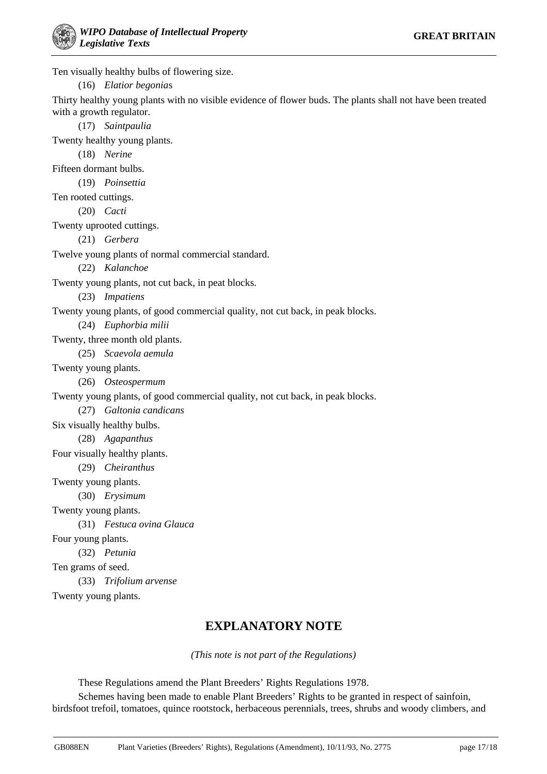Ten visually healthy bulbs of flowering size.

(16) *Elatior begonia*s

Thirty healthy young plants with no visible evidence of flower buds. The plants shall not have been treated with a growth regulator.

(17) *Saintpaulia* Twenty healthy young plants.

(18) *Nerine*

Fifteen dormant bulbs.

(19) *Poinsettia*

Ten rooted cuttings.

(20) *Cacti*

Twenty uprooted cuttings.

(21) *Gerbera*

Twelve young plants of normal commercial standard.

(22) *Kalanchoe*

Twenty young plants, not cut back, in peat blocks.

(23) *Impatiens*

Twenty young plants, of good commercial quality, not cut back, in peak blocks.

(24) *Euphorbia milii*

Twenty, three month old plants.

(25) *Scaevola aemula*

Twenty young plants.

(26) *Osteospermum*

Twenty young plants, of good commercial quality, not cut back, in peak blocks.

(27) *Galtonia candicans*

Six visually healthy bulbs.

(28) *Agapanthus*

Four visually healthy plants.

(29) *Cheiranthus*

Twenty young plants.

(30) *Erysimum*

Twenty young plants.

(31) *Festuca ovina Glauca*

Four young plants.

(32) *Petunia*

Ten grams of seed.

(33) *Trifolium arvense*

Twenty young plants.

## **EXPLANATORY NOTE**

*(This note is not part of the Regulations)*

These Regulations amend the Plant Breeders' Rights Regulations 1978.

Schemes having been made to enable Plant Breeders' Rights to be granted in respect of sainfoin, birdsfoot trefoil, tomatoes, quince rootstock, herbaceous perennials, trees, shrubs and woody climbers, and